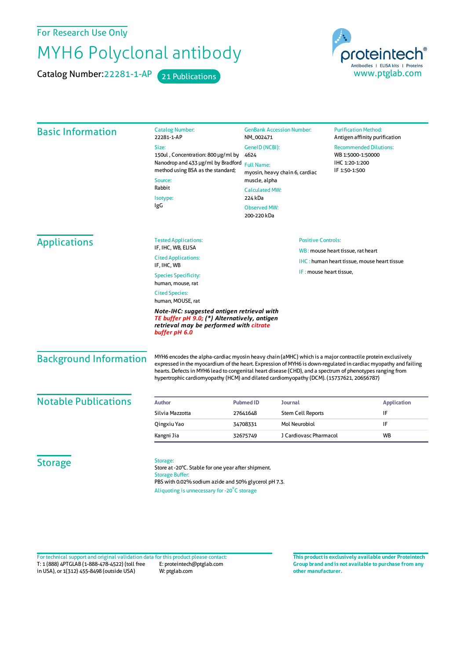For Research Use Only

## MYH6 Polyclonal antibody

Catalog Number: 22281-1-AP 21 Publications



| <b>Basic Information</b>      | <b>Catalog Number:</b><br>22281-1-AP                                                                                                                                                                                                                                                                                                                                                                                                 | <b>GenBank Accession Number:</b><br>NM_002471<br>GeneID (NCBI):<br>4624 |                          | <b>Purification Method:</b><br>Antigen affinity purification<br><b>Recommended Dilutions:</b><br>WB 1:5000-1:50000<br>IHC 1:20-1:200 |                                                    |  |
|-------------------------------|--------------------------------------------------------------------------------------------------------------------------------------------------------------------------------------------------------------------------------------------------------------------------------------------------------------------------------------------------------------------------------------------------------------------------------------|-------------------------------------------------------------------------|--------------------------|--------------------------------------------------------------------------------------------------------------------------------------|----------------------------------------------------|--|
|                               | Size:                                                                                                                                                                                                                                                                                                                                                                                                                                |                                                                         |                          |                                                                                                                                      |                                                    |  |
|                               | 150ul, Concentration: 800 µg/ml by<br>Nanodrop and 433 µg/ml by Bradford<br>method using BSA as the standard;<br>Source:<br>Rabbit<br>Isotype:<br>IgG                                                                                                                                                                                                                                                                                |                                                                         |                          |                                                                                                                                      |                                                    |  |
|                               |                                                                                                                                                                                                                                                                                                                                                                                                                                      | <b>Full Name:</b><br>myosin, heavy chain 6, cardiac                     |                          | IF 1:50-1:500                                                                                                                        |                                                    |  |
|                               |                                                                                                                                                                                                                                                                                                                                                                                                                                      | muscle, alpha                                                           |                          |                                                                                                                                      |                                                    |  |
|                               |                                                                                                                                                                                                                                                                                                                                                                                                                                      | <b>Calculated MW:</b><br>224 kDa                                        |                          |                                                                                                                                      |                                                    |  |
|                               |                                                                                                                                                                                                                                                                                                                                                                                                                                      | <b>Observed MW:</b>                                                     |                          |                                                                                                                                      |                                                    |  |
|                               |                                                                                                                                                                                                                                                                                                                                                                                                                                      | 200-220 kDa                                                             |                          |                                                                                                                                      |                                                    |  |
| <b>Applications</b>           | <b>Tested Applications:</b>                                                                                                                                                                                                                                                                                                                                                                                                          | <b>Positive Controls:</b>                                               |                          |                                                                                                                                      |                                                    |  |
|                               | IF, IHC, WB, ELISA                                                                                                                                                                                                                                                                                                                                                                                                                   |                                                                         |                          | WB: mouse heart tissue, rat heart                                                                                                    |                                                    |  |
|                               | <b>Cited Applications:</b><br>IF, IHC, WB                                                                                                                                                                                                                                                                                                                                                                                            |                                                                         |                          |                                                                                                                                      | <b>IHC:</b> human heart tissue, mouse heart tissue |  |
|                               | <b>Species Specificity:</b><br>human, mouse, rat                                                                                                                                                                                                                                                                                                                                                                                     |                                                                         | IF: mouse heart tissue.  |                                                                                                                                      |                                                    |  |
|                               | <b>Cited Species:</b><br>human, MOUSE, rat                                                                                                                                                                                                                                                                                                                                                                                           |                                                                         |                          |                                                                                                                                      |                                                    |  |
|                               | Note-IHC: suggested antigen retrieval with<br>TE buffer pH 9.0; (*) Alternatively, antigen<br>retrieval may be performed with citrate<br>buffer pH 6.0                                                                                                                                                                                                                                                                               |                                                                         |                          |                                                                                                                                      |                                                    |  |
| <b>Background Information</b> | MYH6 encodes the alpha-cardiac myosin heavy chain (aMHC) which is a major contractile protein exclusively<br>expressed in the myocardium of the heart. Expression of MYH6 is down-regulated in cardiac myopathy and failing<br>hearts. Defects in MYH6 lead to congenital heart disease (CHD), and a spectrum of phenotypes ranging from<br>hypertrophic cardiomyopathy (HCM) and dilated cardiomyopathy (DCM). (15737621, 20656787) |                                                                         |                          |                                                                                                                                      |                                                    |  |
| <b>Notable Publications</b>   | <b>Author</b>                                                                                                                                                                                                                                                                                                                                                                                                                        | <b>Pubmed ID</b><br><b>Journal</b>                                      |                          |                                                                                                                                      | <b>Application</b>                                 |  |
|                               | Silvia Mazzotta                                                                                                                                                                                                                                                                                                                                                                                                                      | 27641648                                                                | <b>Stem Cell Reports</b> |                                                                                                                                      | IF                                                 |  |
|                               | Qingxiu Yao                                                                                                                                                                                                                                                                                                                                                                                                                          | 34708331                                                                | Mol Neurobiol            |                                                                                                                                      | IF                                                 |  |
|                               | Kangni Jia                                                                                                                                                                                                                                                                                                                                                                                                                           | 32675749                                                                | J Cardiovasc Pharmacol   |                                                                                                                                      | <b>WB</b>                                          |  |
| <b>Storage</b>                | Storage:<br>Store at -20°C. Stable for one year after shipment.<br><b>Storage Buffer:</b><br>PBS with 0.02% sodium azide and 50% glycerol pH 7.3.<br>Aliquoting is unnecessary for -20°C storage                                                                                                                                                                                                                                     |                                                                         |                          |                                                                                                                                      |                                                    |  |

T: 1 (888) 4PTGLAB (1-888-478-4522) (toll free in USA), or 1(312) 455-8498 (outside USA) E: proteintech@ptglab.com W: ptglab.com Fortechnical support and original validation data forthis product please contact: **This productis exclusively available under Proteintech**

**Group brand and is not available to purchase from any other manufacturer.**